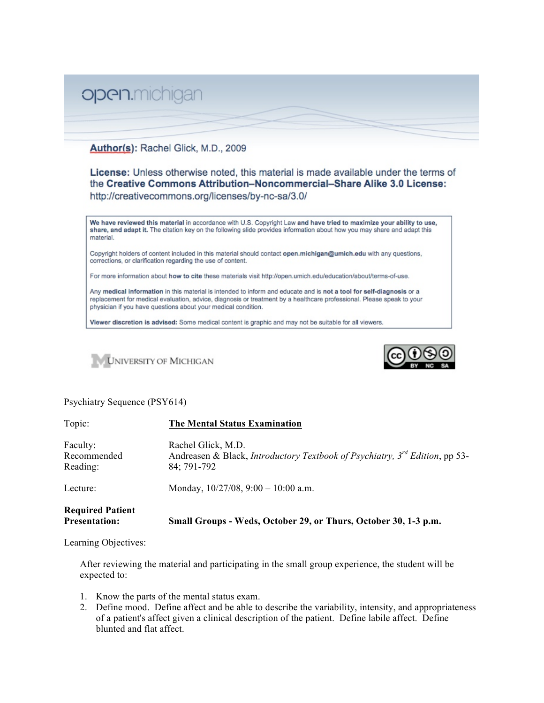## open.michigan

## Author(s): Rachel Glick, M.D., 2009

License: Unless otherwise noted, this material is made available under the terms of the Creative Commons Attribution-Noncommercial-Share Alike 3.0 License: http://creativecommons.org/licenses/by-nc-sa/3.0/

We have reviewed this material in accordance with U.S. Copyright Law and have tried to maximize your ability to use, share, and adapt it. The citation key on the following slide provides information about how you may share and adapt this material.

Copyright holders of content included in this material should contact open.michigan@umich.edu with any questions, corrections, or clarification regarding the use of content.

For more information about how to cite these materials visit http://open.umich.edu/education/about/terms-of-use.

Any medical information in this material is intended to inform and educate and is not a tool for self-diagnosis or a replacement for medical evaluation, advice, diagnosis or treatment by a healthcare professional. Please speak to your physician if you have questions about your medical condition.

Viewer discretion is advised: Some medical content is graphic and may not be suitable for all viewers.





## Psychiatry Sequence (PSY614)

| Topic:                                          | <b>The Mental Status Examination</b>                                                                                  |
|-------------------------------------------------|-----------------------------------------------------------------------------------------------------------------------|
| Faculty:<br>Recommended<br>Reading:             | Rachel Glick, M.D.<br>Andreasen & Black, Introductory Textbook of Psychiatry, $3^{rd}$ Edition, pp 53-<br>84; 791-792 |
| Lecture:                                        | Monday, $10/27/08$ , $9:00 - 10:00$ a.m.                                                                              |
| <b>Required Patient</b><br><b>Presentation:</b> | Small Groups - Weds, October 29, or Thurs, October 30, 1-3 p.m.                                                       |

Learning Objectives:

After reviewing the material and participating in the small group experience, the student will be expected to:

- 1. Know the parts of the mental status exam.
- 2. Define mood. Define affect and be able to describe the variability, intensity, and appropriateness of a patient's affect given a clinical description of the patient. Define labile affect. Define blunted and flat affect.